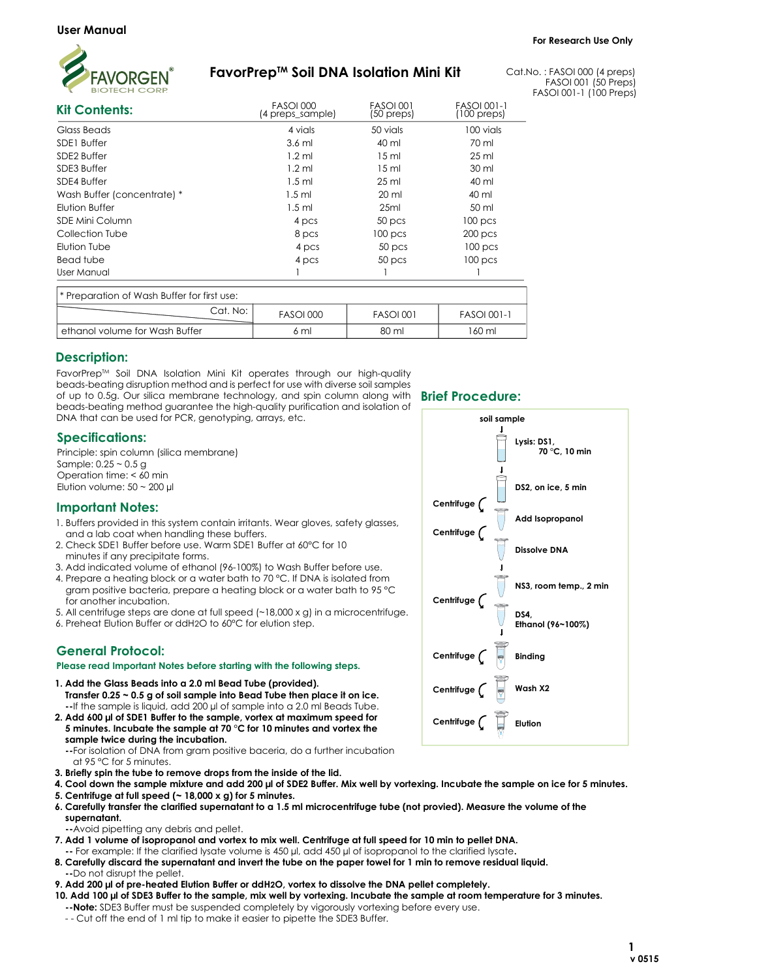

# FavorPrep™ Soil DNA Isolation Mini Kit

Cat.No. : FASOI 000 (4 preps) FASOI 001 (50 Preps) FASOI 001-1 (100 Preps)

| <b>Kit Contents:</b>                        | <b>FASOI 000</b><br>(4 preps_sample) | <b>FASOI 001</b><br>(50 preps) | <b>FASOI 001-1</b><br>$(100 \text{ preps})$ |
|---------------------------------------------|--------------------------------------|--------------------------------|---------------------------------------------|
| Glass Beads                                 | 4 vials                              | 50 vials                       | 100 vials                                   |
| SDE1 Buffer                                 | $3.6$ ml<br>$1.2$ ml                 | 40 ml<br>15 <sub>ml</sub>      | 70 ml<br>$25 \mathrm{ml}$                   |
| SDE2 Buffer                                 |                                      |                                |                                             |
| SDE3 Buffer                                 | $1.2$ ml                             | 15 <sub>ml</sub>               | 30 ml                                       |
| SDE4 Buffer                                 | $1.5$ ml                             | $25 \mathrm{ml}$               | 40 ml                                       |
| Wash Buffer (concentrate) *                 | $1.5$ ml                             | 20 ml                          | 40 ml                                       |
| Elution Buffer                              | $1.5$ ml                             | 25ml                           | 50 ml                                       |
| SDE Mini Column                             | 4 pcs                                | 50 pcs                         | 100 <sub>pcs</sub>                          |
| Collection Tube                             | 8 pcs                                | 100 <sub>pcs</sub>             | $200$ pcs                                   |
| Elution Tube                                | 4 pcs                                | 50 <sub>pcs</sub>              | 100 <sub>pcs</sub>                          |
| Bead tube                                   | 4 pcs                                | 50 pcs                         | 100 <sub>pcs</sub>                          |
| User Manual                                 |                                      |                                |                                             |
| * Preparation of Wash Buffer for first use: |                                      |                                |                                             |
| Cat. No:                                    | <b>FASOI 000</b>                     | <b>FASOI 001</b>               | <b>FASOI 001-1</b>                          |
| ethanol volume for Wash Buffer              | 6 ml                                 | 80 ml                          | 160 ml                                      |

# Description:

FavorPrep™ Soil DNA Isolation Mini Kit operates through our high-quality beads-beating disruption method and is perfect for use with diverse soil samples of up to 0.5g. Our silica membrane technology, and spin column along with beads-beating method guarantee the high-quality purification and isolation of DNA that can be used for PCR, genotyping, arrays, etc.

## Specifications:

Sample: 0.25 ~ 0.5 g Operation time: < 60 min Principle: spin column (silica membrane) Elution volume:  $50 \sim 200$  µl

### Important Notes:

- 1. Buffers provided in this system contain irritants. Wear gloves, safety glasses, and a lab coat when handling these buffers.
- 2. Check SDE1 Buffer before use. Warm SDE1 Buffer at 60°C for 10 minutes if any precipitate forms.
- 3. Add indicated volume of ethanol (96-100%) to Wash Buffer before use.
- 4. Prepare a heating block or a water bath to 70 °C. If DNA is isolated from gram positive bacteria, prepare a heating block or a water bath to 95 °C for another incubation.
- 5. All centrifuge steps are done at full speed (~18,000 x g) in a microcentrifuge.
- 6. Preheat Elution Buffer or ddH2O to 60°C for elution step.

# General Protocol:

#### Please read Important Notes before starting with the following steps.

- 1. Add the Glass Beads into a 2.0 ml Bead Tube (provided). Transfer 0.25 ~ 0.5 g of soil sample into Bead Tube then place it on ice. --If the sample is liquid, add 200 µl of sample into a 2.0 ml Beads Tube.
- 2. Add 600 µl of SDE1 Buffer to the sample, vortex at maximum speed for 5 minutes. Incubate the sample at 70 °C for 10 minutes and vortex the sample twice during the incubation.

 --For isolation of DNA from gram positive baceria, do a further incubation at 95 °C for 5 minutes.

- 3. Briefly spin the tube to remove drops from the inside of the lid.
- 4. Cool down the sample mixture and add 200 µl of SDE2 Buffer. Mix well by vortexing. Incubate the sample on ice for 5 minutes.
- 5. Centrifuge at full speed (~ 18,000 x g) for 5 minutes.
- 6. Carefully transfer the clarified supernatant to a 1.5 ml microcentrifuge tube (not provied). Measure the volume of the

 supernatant. --Avoid pipetting any debris and pellet.

- 7. Add 1 volume of isopropanol and vortex to mix well. Centrifuge at full speed for 10 min to pellet DNA.
- -- For example: If the clarified lysate volume is 450 µl, add 450 µl of isopropanol to the clarified lysate.
- 8. Carefully discard the supernatant and invert the tube on the paper towel for 1 min to remove residual liquid. -Do not disrupt the pellet.
- 9. Add 200 µl of pre-heated Elution Buffer or ddH2O, vortex to dissolve the DNA pellet completely.
- 10. Add 100 µl of SDE3 Buffer to the sample, mix well by vortexing. Incubate the sample at room temperature for 3 minutes. --Note: SDE3 Buffer must be suspended completely by vigorously vortexing before every use.
- - Cut off the end of 1 ml tip to make it easier to pipette the SDE3 Buffer.

# Brief Procedure: